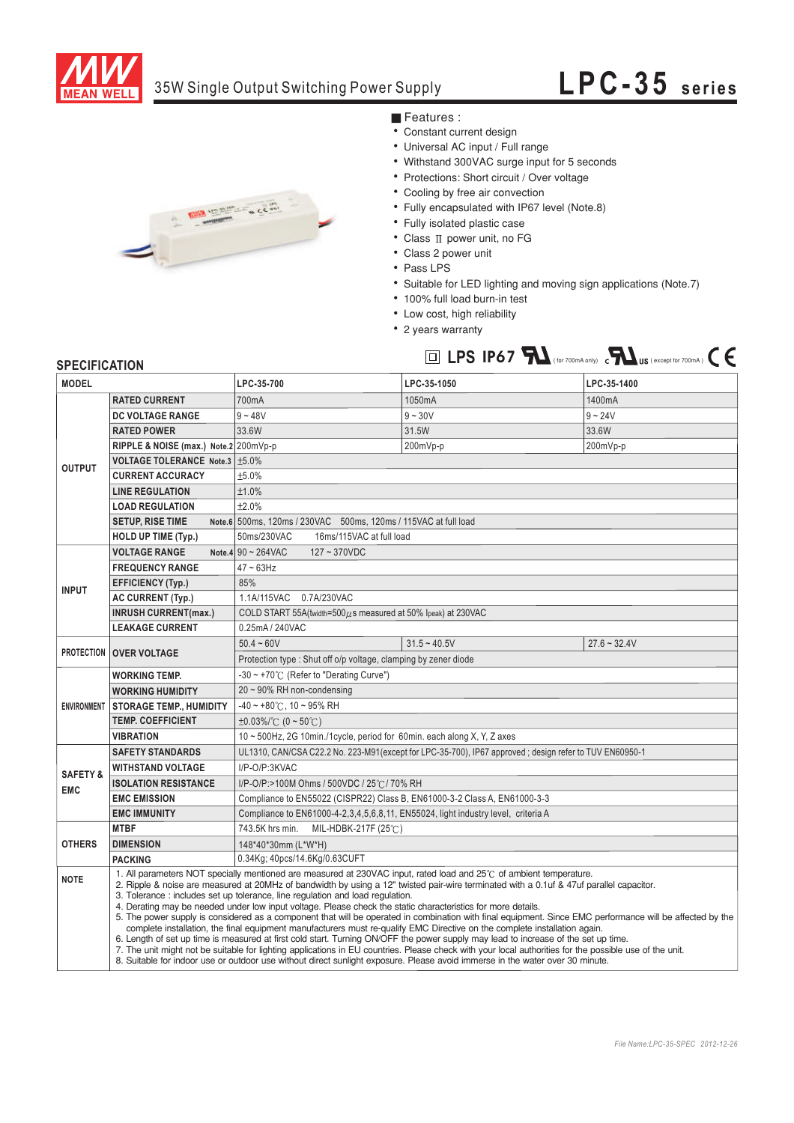

### 35W Single Output Switching Power Supply

# **LPC-3 5 s eries**



- **Features** :
- Constant current design
- Universal AC input / Full range
- Withstand 300VAC surge input for 5 seconds
- Protections: Short circuit / Over voltage
- Cooling by free air convection
- Fully encapsulated with IP67 level (Note.8)
- Fully isolated plastic case
- Class II power unit, no FG
- Class 2 power unit
- ¡E¡E¡E¡E¡E¡E¡E¡E¡E¡E¡E¡E¡E Pass LPS
- Suitable for LED lighting and moving sign applications (Note.7)
- 100% full load burn-in test
- Low cost, high reliability
- 2 years warranty



### **SPECIFICATION**

| <b>MODEL</b>                      |                                                                                                                                                                                                                                                                                                                                                                                                                                                                                                                                                                                                                                                                                                                                                                                                                                                                                                                                                                                                                                                                                                                                                                                                | LPC-35-700                                                                                             | LPC-35-1050    | LPC-35-1400    |
|-----------------------------------|------------------------------------------------------------------------------------------------------------------------------------------------------------------------------------------------------------------------------------------------------------------------------------------------------------------------------------------------------------------------------------------------------------------------------------------------------------------------------------------------------------------------------------------------------------------------------------------------------------------------------------------------------------------------------------------------------------------------------------------------------------------------------------------------------------------------------------------------------------------------------------------------------------------------------------------------------------------------------------------------------------------------------------------------------------------------------------------------------------------------------------------------------------------------------------------------|--------------------------------------------------------------------------------------------------------|----------------|----------------|
| <b>OUTPUT</b>                     | <b>RATED CURRENT</b>                                                                                                                                                                                                                                                                                                                                                                                                                                                                                                                                                                                                                                                                                                                                                                                                                                                                                                                                                                                                                                                                                                                                                                           | 700mA                                                                                                  | 1050mA         | 1400mA         |
|                                   | DC VOLTAGE RANGE                                                                                                                                                                                                                                                                                                                                                                                                                                                                                                                                                                                                                                                                                                                                                                                                                                                                                                                                                                                                                                                                                                                                                                               | $9 - 48V$                                                                                              | $9 - 30V$      | $9 - 24V$      |
|                                   | <b>RATED POWER</b>                                                                                                                                                                                                                                                                                                                                                                                                                                                                                                                                                                                                                                                                                                                                                                                                                                                                                                                                                                                                                                                                                                                                                                             | 33.6W                                                                                                  | 31.5W          | 33.6W          |
|                                   | RIPPLE & NOISE (max.) Note.2 200mVp-p                                                                                                                                                                                                                                                                                                                                                                                                                                                                                                                                                                                                                                                                                                                                                                                                                                                                                                                                                                                                                                                                                                                                                          |                                                                                                        | 200mVp-p       | 200mVp-p       |
|                                   | VOLTAGE TOLERANCE Note.3   ±5.0%                                                                                                                                                                                                                                                                                                                                                                                                                                                                                                                                                                                                                                                                                                                                                                                                                                                                                                                                                                                                                                                                                                                                                               |                                                                                                        |                |                |
|                                   | <b>CURRENT ACCURACY</b>                                                                                                                                                                                                                                                                                                                                                                                                                                                                                                                                                                                                                                                                                                                                                                                                                                                                                                                                                                                                                                                                                                                                                                        | ±5.0%                                                                                                  |                |                |
|                                   | <b>LINE REGULATION</b>                                                                                                                                                                                                                                                                                                                                                                                                                                                                                                                                                                                                                                                                                                                                                                                                                                                                                                                                                                                                                                                                                                                                                                         | ±1.0%                                                                                                  |                |                |
|                                   | <b>LOAD REGULATION</b>                                                                                                                                                                                                                                                                                                                                                                                                                                                                                                                                                                                                                                                                                                                                                                                                                                                                                                                                                                                                                                                                                                                                                                         | ±2.0%                                                                                                  |                |                |
|                                   | <b>SETUP, RISE TIME</b>                                                                                                                                                                                                                                                                                                                                                                                                                                                                                                                                                                                                                                                                                                                                                                                                                                                                                                                                                                                                                                                                                                                                                                        | Note.6 500ms, 120ms / 230VAC 500ms, 120ms / 115VAC at full load                                        |                |                |
|                                   | <b>HOLD UP TIME (Typ.)</b>                                                                                                                                                                                                                                                                                                                                                                                                                                                                                                                                                                                                                                                                                                                                                                                                                                                                                                                                                                                                                                                                                                                                                                     | 16ms/115VAC at full load<br>50ms/230VAC                                                                |                |                |
| <b>INPUT</b>                      | <b>VOLTAGE RANGE</b>                                                                                                                                                                                                                                                                                                                                                                                                                                                                                                                                                                                                                                                                                                                                                                                                                                                                                                                                                                                                                                                                                                                                                                           | Note.4 $90 \sim 264$ VAC<br>$127 - 370VDC$                                                             |                |                |
|                                   | <b>FREQUENCY RANGE</b>                                                                                                                                                                                                                                                                                                                                                                                                                                                                                                                                                                                                                                                                                                                                                                                                                                                                                                                                                                                                                                                                                                                                                                         | $47 \sim 63$ Hz                                                                                        |                |                |
|                                   | <b>EFFICIENCY (Typ.)</b>                                                                                                                                                                                                                                                                                                                                                                                                                                                                                                                                                                                                                                                                                                                                                                                                                                                                                                                                                                                                                                                                                                                                                                       | 85%                                                                                                    |                |                |
|                                   | <b>AC CURRENT (Typ.)</b>                                                                                                                                                                                                                                                                                                                                                                                                                                                                                                                                                                                                                                                                                                                                                                                                                                                                                                                                                                                                                                                                                                                                                                       | 1.1A/115VAC 0.7A/230VAC                                                                                |                |                |
|                                   | <b>INRUSH CURRENT(max.)</b>                                                                                                                                                                                                                                                                                                                                                                                                                                                                                                                                                                                                                                                                                                                                                                                                                                                                                                                                                                                                                                                                                                                                                                    | COLD START 55A(twidth=500 $\mu$ s measured at 50% Ipeak) at 230VAC                                     |                |                |
|                                   | <b>LEAKAGE CURRENT</b>                                                                                                                                                                                                                                                                                                                                                                                                                                                                                                                                                                                                                                                                                                                                                                                                                                                                                                                                                                                                                                                                                                                                                                         | 0.25mA / 240VAC                                                                                        |                |                |
| <b>PROTECTION OVER VOLTAGE</b>    |                                                                                                                                                                                                                                                                                                                                                                                                                                                                                                                                                                                                                                                                                                                                                                                                                                                                                                                                                                                                                                                                                                                                                                                                | $50.4 - 60V$                                                                                           | $31.5 - 40.5V$ | $27.6 - 32.4V$ |
|                                   | Protection type: Shut off o/p voltage, clamping by zener diode                                                                                                                                                                                                                                                                                                                                                                                                                                                                                                                                                                                                                                                                                                                                                                                                                                                                                                                                                                                                                                                                                                                                 |                                                                                                        |                |                |
|                                   | <b>WORKING TEMP.</b>                                                                                                                                                                                                                                                                                                                                                                                                                                                                                                                                                                                                                                                                                                                                                                                                                                                                                                                                                                                                                                                                                                                                                                           | -30 ~ +70°C (Refer to "Derating Curve")                                                                |                |                |
| <b>ENVIRONMENT</b>                | <b>WORKING HUMIDITY</b>                                                                                                                                                                                                                                                                                                                                                                                                                                                                                                                                                                                                                                                                                                                                                                                                                                                                                                                                                                                                                                                                                                                                                                        | $20 \sim 90\%$ RH non-condensing                                                                       |                |                |
|                                   | <b>STORAGE TEMP., HUMIDITY</b>                                                                                                                                                                                                                                                                                                                                                                                                                                                                                                                                                                                                                                                                                                                                                                                                                                                                                                                                                                                                                                                                                                                                                                 | $-40 \sim +80^{\circ}$ C, 10 ~ 95% RH                                                                  |                |                |
|                                   | <b>TEMP, COEFFICIENT</b>                                                                                                                                                                                                                                                                                                                                                                                                                                                                                                                                                                                                                                                                                                                                                                                                                                                                                                                                                                                                                                                                                                                                                                       | $\pm 0.03\%$ (0 ~ 50°C)                                                                                |                |                |
|                                   | <b>VIBRATION</b>                                                                                                                                                                                                                                                                                                                                                                                                                                                                                                                                                                                                                                                                                                                                                                                                                                                                                                                                                                                                                                                                                                                                                                               | 10 ~ 500Hz, 2G 10min./1cycle, period for 60min. each along X, Y, Z axes                                |                |                |
| <b>SAFETY &amp;</b><br><b>EMC</b> | <b>SAFETY STANDARDS</b>                                                                                                                                                                                                                                                                                                                                                                                                                                                                                                                                                                                                                                                                                                                                                                                                                                                                                                                                                                                                                                                                                                                                                                        | UL1310, CAN/CSA C22.2 No. 223-M91(except for LPC-35-700), IP67 approved; design refer to TUV EN60950-1 |                |                |
|                                   | <b>WITHSTAND VOLTAGE</b>                                                                                                                                                                                                                                                                                                                                                                                                                                                                                                                                                                                                                                                                                                                                                                                                                                                                                                                                                                                                                                                                                                                                                                       | I/P-O/P:3KVAC                                                                                          |                |                |
|                                   | <b>ISOLATION RESISTANCE</b>                                                                                                                                                                                                                                                                                                                                                                                                                                                                                                                                                                                                                                                                                                                                                                                                                                                                                                                                                                                                                                                                                                                                                                    | I/P-O/P:>100M Ohms / 500VDC / 25°C / 70% RH                                                            |                |                |
|                                   | <b>EMC EMISSION</b>                                                                                                                                                                                                                                                                                                                                                                                                                                                                                                                                                                                                                                                                                                                                                                                                                                                                                                                                                                                                                                                                                                                                                                            | Compliance to EN55022 (CISPR22) Class B, EN61000-3-2 Class A, EN61000-3-3                              |                |                |
|                                   | <b>EMC IMMUNITY</b>                                                                                                                                                                                                                                                                                                                                                                                                                                                                                                                                                                                                                                                                                                                                                                                                                                                                                                                                                                                                                                                                                                                                                                            | Compliance to EN61000-4-2,3,4,5,6,8,11, EN55024, light industry level, criteria A                      |                |                |
| <b>OTHERS</b>                     | <b>MTBF</b>                                                                                                                                                                                                                                                                                                                                                                                                                                                                                                                                                                                                                                                                                                                                                                                                                                                                                                                                                                                                                                                                                                                                                                                    | 743.5K hrs min.<br>MIL-HDBK-217F (25 $°C$ )                                                            |                |                |
|                                   | <b>DIMENSION</b>                                                                                                                                                                                                                                                                                                                                                                                                                                                                                                                                                                                                                                                                                                                                                                                                                                                                                                                                                                                                                                                                                                                                                                               | 148*40*30mm (L*W*H)                                                                                    |                |                |
|                                   | <b>PACKING</b>                                                                                                                                                                                                                                                                                                                                                                                                                                                                                                                                                                                                                                                                                                                                                                                                                                                                                                                                                                                                                                                                                                                                                                                 | 0.34Kg; 40pcs/14.6Kg/0.63CUFT                                                                          |                |                |
| <b>NOTE</b>                       | 1. All parameters NOT specially mentioned are measured at 230VAC input, rated load and 25°C of ambient temperature.<br>2. Ripple & noise are measured at 20MHz of bandwidth by using a 12" twisted pair-wire terminated with a 0.1uf & 47uf parallel capacitor.<br>3. Tolerance : includes set up tolerance, line regulation and load requlation.<br>4. Derating may be needed under low input voltage. Please check the static characteristics for more details.<br>5. The power supply is considered as a component that will be operated in combination with final equipment. Since EMC performance will be affected by the<br>complete installation, the final equipment manufacturers must re-qualify EMC Directive on the complete installation again.<br>6. Length of set up time is measured at first cold start. Turning ON/OFF the power supply may lead to increase of the set up time.<br>7. The unit might not be suitable for lighting applications in EU countries. Please check with your local authorities for the possible use of the unit.<br>8. Suitable for indoor use or outdoor use without direct sunlight exposure. Please avoid immerse in the water over 30 minute. |                                                                                                        |                |                |